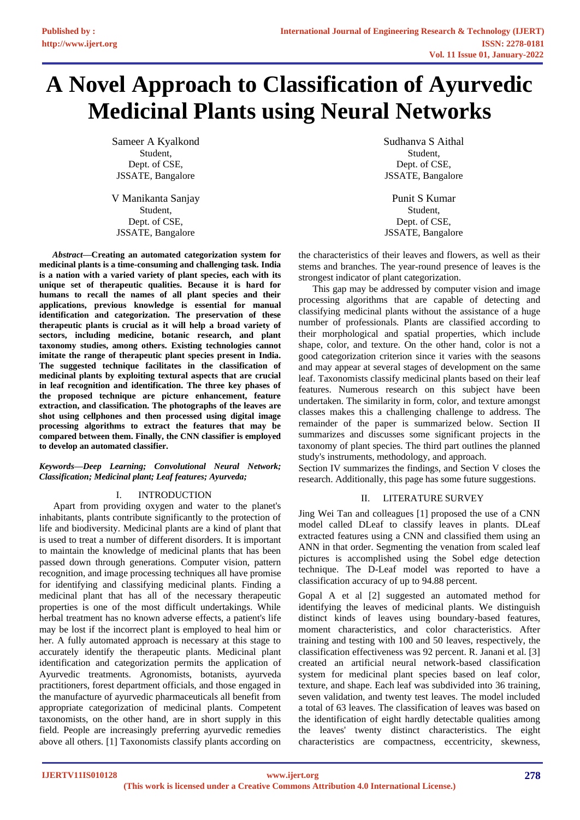# **A Novel Approach to Classification of Ayurvedic Medicinal Plants using Neural Networks**

Sameer A Kyalkond Student, Dept. of CSE, JSSATE, Bangalore

V Manikanta Sanjay Student, Dept. of CSE, JSSATE, Bangalore

*Abstract***—Creating an automated categorization system for medicinal plants is a time-consuming and challenging task. India is a nation with a varied variety of plant species, each with its unique set of therapeutic qualities. Because it is hard for humans to recall the names of all plant species and their applications, previous knowledge is essential for manual identification and categorization. The preservation of these therapeutic plants is crucial as it will help a broad variety of sectors, including medicine, botanic research, and plant taxonomy studies, among others. Existing technologies cannot imitate the range of therapeutic plant species present in India. The suggested technique facilitates in the classification of medicinal plants by exploiting textural aspects that are crucial in leaf recognition and identification. The three key phases of the proposed technique are picture enhancement, feature extraction, and classification. The photographs of the leaves are shot using cellphones and then processed using digital image processing algorithms to extract the features that may be compared between them. Finally, the CNN classifier is employed to develop an automated classifier.**

## *Keywords—Deep Learning; Convolutional Neural Network; Classification; Medicinal plant; Leaf features; Ayurveda;*

# I. INTRODUCTION

Apart from providing oxygen and water to the planet's inhabitants, plants contribute significantly to the protection of life and biodiversity. Medicinal plants are a kind of plant that is used to treat a number of different disorders. It is important to maintain the knowledge of medicinal plants that has been passed down through generations. Computer vision, pattern recognition, and image processing techniques all have promise for identifying and classifying medicinal plants. Finding a medicinal plant that has all of the necessary therapeutic properties is one of the most difficult undertakings. While herbal treatment has no known adverse effects, a patient's life may be lost if the incorrect plant is employed to heal him or her. A fully automated approach is necessary at this stage to accurately identify the therapeutic plants. Medicinal plant identification and categorization permits the application of Ayurvedic treatments. Agronomists, botanists, ayurveda practitioners, forest department officials, and those engaged in the manufacture of ayurvedic pharmaceuticals all benefit from appropriate categorization of medicinal plants. Competent taxonomists, on the other hand, are in short supply in this field. People are increasingly preferring ayurvedic remedies above all others. [1] Taxonomists classify plants according on

Sudhanva S Aithal Student, Dept. of CSE, JSSATE, Bangalore

Punit S Kumar Student, Dept. of CSE, JSSATE, Bangalore

the characteristics of their leaves and flowers, as well as their stems and branches. The year-round presence of leaves is the strongest indicator of plant categorization.

This gap may be addressed by computer vision and image processing algorithms that are capable of detecting and classifying medicinal plants without the assistance of a huge number of professionals. Plants are classified according to their morphological and spatial properties, which include shape, color, and texture. On the other hand, color is not a good categorization criterion since it varies with the seasons and may appear at several stages of development on the same leaf. Taxonomists classify medicinal plants based on their leaf features. Numerous research on this subject have been undertaken. The similarity in form, color, and texture amongst classes makes this a challenging challenge to address. The remainder of the paper is summarized below. Section II summarizes and discusses some significant projects in the taxonomy of plant species. The third part outlines the planned study's instruments, methodology, and approach.

Section IV summarizes the findings, and Section V closes the research. Additionally, this page has some future suggestions.

## II. LITERATURE SURVEY

Jing Wei Tan and colleagues [1] proposed the use of a CNN model called DLeaf to classify leaves in plants. DLeaf extracted features using a CNN and classified them using an ANN in that order. Segmenting the venation from scaled leaf pictures is accomplished using the Sobel edge detection technique. The D-Leaf model was reported to have a classification accuracy of up to 94.88 percent.

Gopal A et al [2] suggested an automated method for identifying the leaves of medicinal plants. We distinguish distinct kinds of leaves using boundary-based features, moment characteristics, and color characteristics. After training and testing with 100 and 50 leaves, respectively, the classification effectiveness was 92 percent. R. Janani et al. [3] created an artificial neural network-based classification system for medicinal plant species based on leaf color, texture, and shape. Each leaf was subdivided into 36 training, seven validation, and twenty test leaves. The model included a total of 63 leaves. The classification of leaves was based on the identification of eight hardly detectable qualities among the leaves' twenty distinct characteristics. The eight characteristics are compactness, eccentricity, skewness,

**IJERTV11IS010128**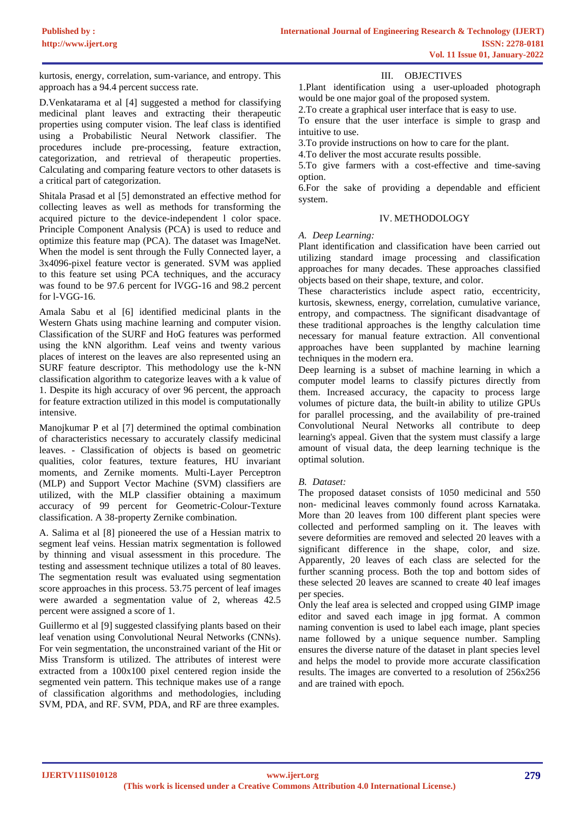kurtosis, energy, correlation, sum-variance, and entropy. This approach has a 94.4 percent success rate.

D.Venkatarama et al [4] suggested a method for classifying medicinal plant leaves and extracting their therapeutic properties using computer vision. The leaf class is identified using a Probabilistic Neural Network classifier. The procedures include pre-processing, feature extraction, categorization, and retrieval of therapeutic properties. Calculating and comparing feature vectors to other datasets is a critical part of categorization.

Shitala Prasad et al [5] demonstrated an effective method for collecting leaves as well as methods for transforming the acquired picture to the device-independent l color space. Principle Component Analysis (PCA) is used to reduce and optimize this feature map (PCA). The dataset was ImageNet. When the model is sent through the Fully Connected layer, a 3x4096-pixel feature vector is generated. SVM was applied to this feature set using PCA techniques, and the accuracy was found to be 97.6 percent for lVGG-16 and 98.2 percent for l-VGG-16.

Amala Sabu et al [6] identified medicinal plants in the Western Ghats using machine learning and computer vision. Classification of the SURF and HoG features was performed using the kNN algorithm. Leaf veins and twenty various places of interest on the leaves are also represented using an SURF feature descriptor. This methodology use the k-NN classification algorithm to categorize leaves with a k value of 1. Despite its high accuracy of over 96 percent, the approach for feature extraction utilized in this model is computationally intensive.

Manojkumar P et al [7] determined the optimal combination of characteristics necessary to accurately classify medicinal leaves. - Classification of objects is based on geometric qualities, color features, texture features, HU invariant moments, and Zernike moments. Multi-Layer Perceptron (MLP) and Support Vector Machine (SVM) classifiers are utilized, with the MLP classifier obtaining a maximum accuracy of 99 percent for Geometric-Colour-Texture classification. A 38-property Zernike combination.

A. Salima et al [8] pioneered the use of a Hessian matrix to segment leaf veins. Hessian matrix segmentation is followed by thinning and visual assessment in this procedure. The testing and assessment technique utilizes a total of 80 leaves. The segmentation result was evaluated using segmentation score approaches in this process. 53.75 percent of leaf images were awarded a segmentation value of 2, whereas 42.5 percent were assigned a score of 1.

Guillermo et al [9] suggested classifying plants based on their leaf venation using Convolutional Neural Networks (CNNs). For vein segmentation, the unconstrained variant of the Hit or Miss Transform is utilized. The attributes of interest were extracted from a 100x100 pixel centered region inside the segmented vein pattern. This technique makes use of a range of classification algorithms and methodologies, including SVM, PDA, and RF. SVM, PDA, and RF are three examples.

## III. OBJECTIVES

1.Plant identification using a user-uploaded photograph would be one major goal of the proposed system.

2.To create a graphical user interface that is easy to use.

To ensure that the user interface is simple to grasp and intuitive to use.

3.To provide instructions on how to care for the plant.

4.To deliver the most accurate results possible.

5.To give farmers with a cost-effective and time-saving option.

6.For the sake of providing a dependable and efficient system.

## IV. METHODOLOGY

#### *A. Deep Learning:*

Plant identification and classification have been carried out utilizing standard image processing and classification approaches for many decades. These approaches classified objects based on their shape, texture, and color.

These characteristics include aspect ratio, eccentricity, kurtosis, skewness, energy, correlation, cumulative variance, entropy, and compactness. The significant disadvantage of these traditional approaches is the lengthy calculation time necessary for manual feature extraction. All conventional approaches have been supplanted by machine learning techniques in the modern era.

Deep learning is a subset of machine learning in which a computer model learns to classify pictures directly from them. Increased accuracy, the capacity to process large volumes of picture data, the built-in ability to utilize GPUs for parallel processing, and the availability of pre-trained Convolutional Neural Networks all contribute to deep learning's appeal. Given that the system must classify a large amount of visual data, the deep learning technique is the optimal solution.

## *B. Dataset:*

The proposed dataset consists of 1050 medicinal and 550 non- medicinal leaves commonly found across Karnataka. More than 20 leaves from 100 different plant species were collected and performed sampling on it. The leaves with severe deformities are removed and selected 20 leaves with a significant difference in the shape, color, and size. Apparently, 20 leaves of each class are selected for the further scanning process. Both the top and bottom sides of these selected 20 leaves are scanned to create 40 leaf images per species.

Only the leaf area is selected and cropped using GIMP image editor and saved each image in jpg format. A common naming convention is used to label each image, plant species name followed by a unique sequence number. Sampling ensures the diverse nature of the dataset in plant species level and helps the model to provide more accurate classification results. The images are converted to a resolution of 256x256 and are trained with epoch.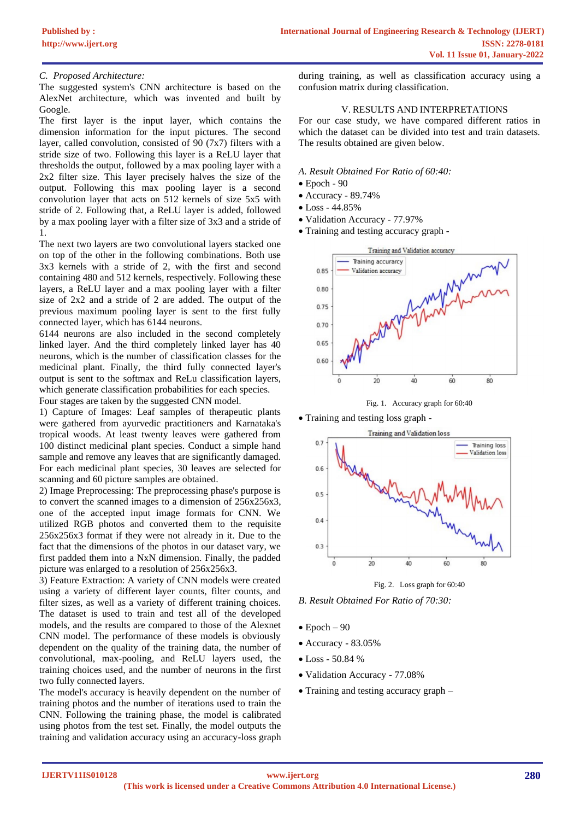## *C. Proposed Architecture:*

The suggested system's CNN architecture is based on the AlexNet architecture, which was invented and built by Google.

The first layer is the input layer, which contains the dimension information for the input pictures. The second layer, called convolution, consisted of 90 (7x7) filters with a stride size of two. Following this layer is a ReLU layer that thresholds the output, followed by a max pooling layer with a 2x2 filter size. This layer precisely halves the size of the output. Following this max pooling layer is a second convolution layer that acts on 512 kernels of size 5x5 with stride of 2. Following that, a ReLU layer is added, followed by a max pooling layer with a filter size of 3x3 and a stride of 1.

The next two layers are two convolutional layers stacked one on top of the other in the following combinations. Both use 3x3 kernels with a stride of 2, with the first and second containing 480 and 512 kernels, respectively. Following these layers, a ReLU layer and a max pooling layer with a filter size of 2x2 and a stride of 2 are added. The output of the previous maximum pooling layer is sent to the first fully connected layer, which has 6144 neurons.

6144 neurons are also included in the second completely linked layer. And the third completely linked layer has 40 neurons, which is the number of classification classes for the medicinal plant. Finally, the third fully connected layer's output is sent to the softmax and ReLu classification layers, which generate classification probabilities for each species.

Four stages are taken by the suggested CNN model.

1) Capture of Images: Leaf samples of therapeutic plants were gathered from ayurvedic practitioners and Karnataka's tropical woods. At least twenty leaves were gathered from 100 distinct medicinal plant species. Conduct a simple hand sample and remove any leaves that are significantly damaged. For each medicinal plant species, 30 leaves are selected for scanning and 60 picture samples are obtained.

2) Image Preprocessing: The preprocessing phase's purpose is to convert the scanned images to a dimension of 256x256x3, one of the accepted input image formats for CNN. We utilized RGB photos and converted them to the requisite 256x256x3 format if they were not already in it. Due to the fact that the dimensions of the photos in our dataset vary, we first padded them into a NxN dimension. Finally, the padded picture was enlarged to a resolution of 256x256x3.

3) Feature Extraction: A variety of CNN models were created using a variety of different layer counts, filter counts, and filter sizes, as well as a variety of different training choices. The dataset is used to train and test all of the developed models, and the results are compared to those of the Alexnet CNN model. The performance of these models is obviously dependent on the quality of the training data, the number of convolutional, max-pooling, and ReLU layers used, the training choices used, and the number of neurons in the first two fully connected layers.

The model's accuracy is heavily dependent on the number of training photos and the number of iterations used to train the CNN. Following the training phase, the model is calibrated using photos from the test set. Finally, the model outputs the training and validation accuracy using an accuracy-loss graph during training, as well as classification accuracy using a confusion matrix during classification.

## V. RESULTS AND INTERPRETATIONS

For our case study, we have compared different ratios in which the dataset can be divided into test and train datasets. The results obtained are given below.

#### *A. Result Obtained For Ratio of 60:40:*

- Epoch 90
- Accuracy 89.74%
- Loss 44.85%
- Validation Accuracy 77.97%
- Training and testing accuracy graph -



Fig. 1. Accuracy graph for 60:40

• Training and testing loss graph -



Fig. 2. Loss graph for 60:40

*B. Result Obtained For Ratio of 70:30:*

- $\bullet$  Epoch  $-90$
- Accuracy 83.05%
- Loss 50.84 %
- Validation Accuracy 77.08%
- Training and testing accuracy graph –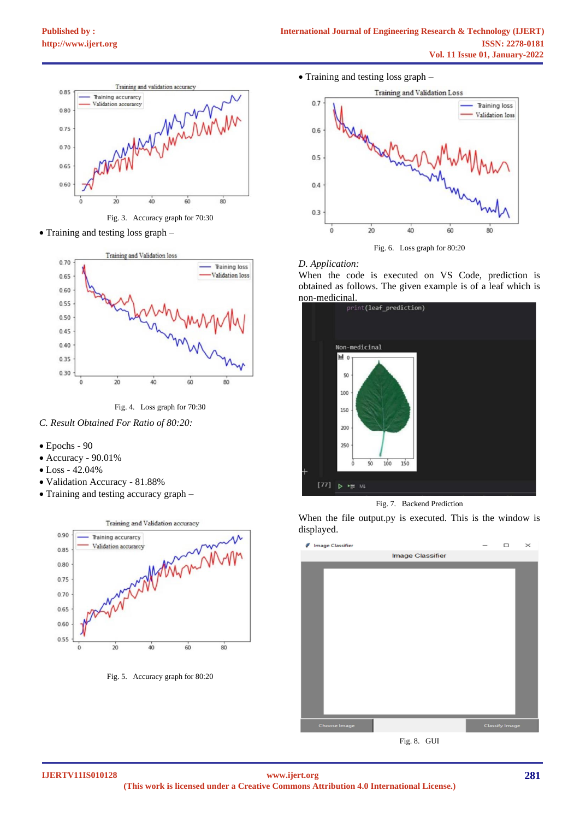

Fig. 3. Accuracy graph for 70:30

• Training and testing loss graph –



Fig. 4. Loss graph for 70:30

*C. Result Obtained For Ratio of 80:20:*

- Epochs 90
- Accuracy 90.01%
- Loss 42.04%
- Validation Accuracy 81.88%
- Training and testing accuracy graph –



Fig. 5. Accuracy graph for 80:20

• Training and testing loss graph –



#### *D. Application:*

When the code is executed on VS Code, prediction is obtained as follows. The given example is of a leaf which is



Fig. 7. Backend Prediction

When the file output.py is executed. This is the window is displayed.



Fig. 8. GUI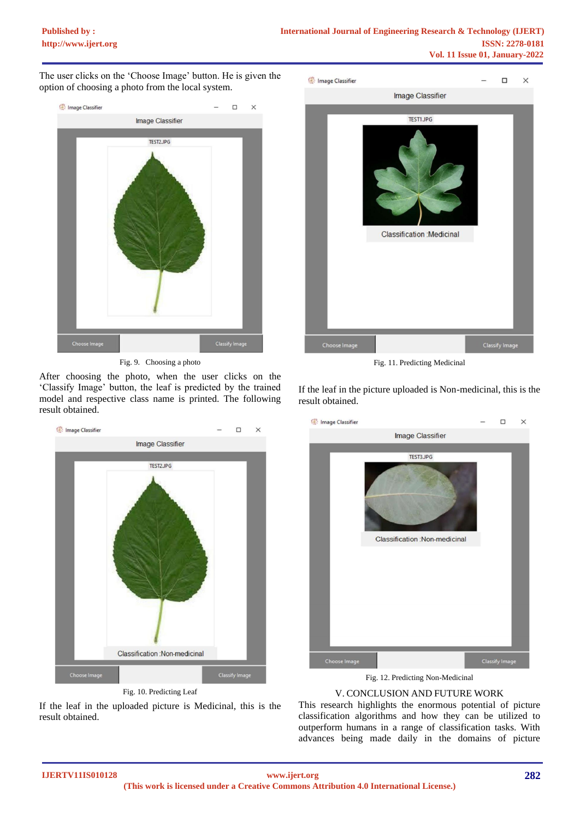The user clicks on the 'Choose Image' button. He is given the option of choosing a photo from the local system.



Fig. 9. Choosing a photo

After choosing the photo, when the user clicks on the 'Classify Image' button, the leaf is predicted by the trained model and respective class name is printed. The following result obtained.



Fig. 10. Predicting Leaf

If the leaf in the uploaded picture is Medicinal, this is the result obtained.



Fig. 11. Predicting Medicinal

If the leaf in the picture uploaded is Non-medicinal, this is the result obtained.



Fig. 12. Predicting Non-Medicinal

# V. CONCLUSION AND FUTURE WORK

This research highlights the enormous potential of picture classification algorithms and how they can be utilized to outperform humans in a range of classification tasks. With advances being made daily in the domains of picture